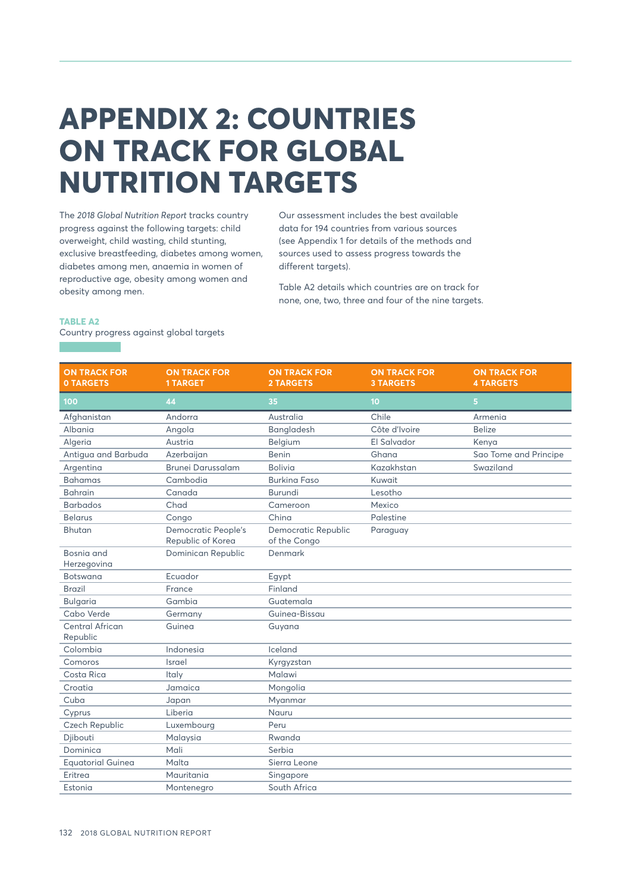# **APPENDIX 2: COUNTRIES ON TRACK FOR GLOBAL NUTRITION TARGETS**

The *2018 Global Nutrition Report* tracks country progress against the following targets: child overweight, child wasting, child stunting, exclusive breastfeeding, diabetes among women, diabetes among men, anaemia in women of reproductive age, obesity among women and obesity among men.

Our assessment includes the best available data for 194 countries from various sources (see Appendix 1 for details of the methods and sources used to assess progress towards the different targets).

Table A2 details which countries are on track for none, one, two, three and four of the nine targets.

## **TABLE A2**

Country progress against global targets

#### **ON TRACK FOR 0 TARGETS ON TRACK FOR 1 TARGET ON TRACK FOR 2 TARGETS ON TRACK FOR 3 TARGETS ON TRACK FOR 4 TARGETS 100 44 35 10 5** Afghanistan **Andorra** Australia Chile **Armenia** Albania Angola Bangladesh Côte d'Ivoire Belize Algeria Austria Belgium El Salvador Kenya Antigua and Barbuda Azerbaijan Benin Ghana Sao Tome and Principe Argentina Brunei Darussalam Bolivia Kazakhstan Swaziland Bahamas Cambodia Burkina Faso Kuwait Bahrain Canada Burundi Lesotho Barbados Chad Cameroon Mexico Belarus Congo China Palestine Bhutan Democratic People's Republic of Korea Democratic Republic of the Congo Paraguay Bosnia and Herzegovina Dominican Republic Denmark Botswana **Ecuador** Eqypt Brazil **France** France Finland Bulgaria Gambia Guatemala Cabo Verde Germany Guinea-Bissau Central African Republic Guinea Guyana Colombia Indonesia Iceland Comoros Israel Kyrgyzstan Costa Rica **Italy Costa Rica** Italy Malawi Croatia **Jamaica** Mongolia Cuba Japan Myanmar Cyprus Liberia Nauru Czech Republic Luxembourg Peru Djibouti Malaysia Rwanda Dominica Mali Serbia Equatorial Guinea Malta Malta Sierra Leone Eritrea Mauritania Singapore Estonia **Montenegro** South Africa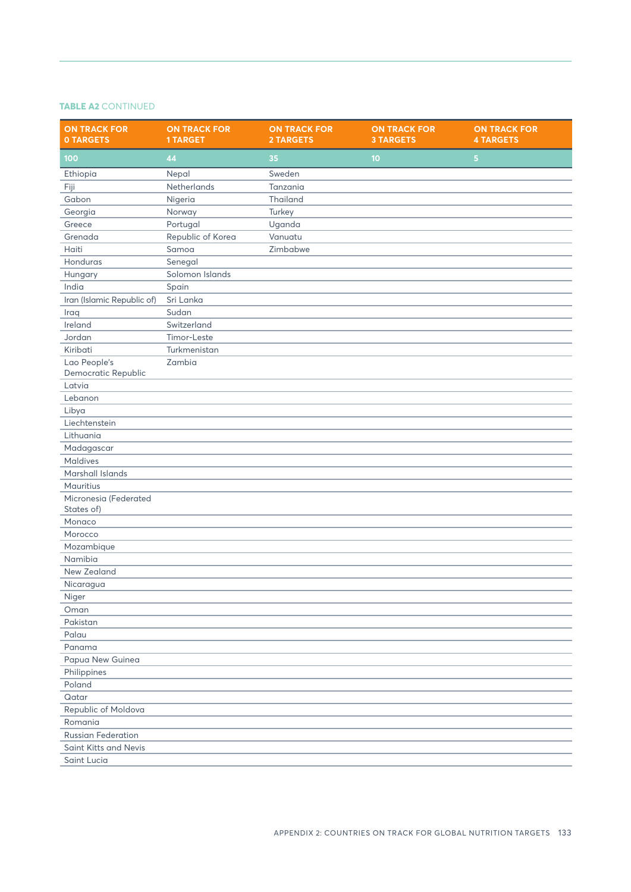# **TABLE A2** CONTINUED

| <b>ON TRACK FOR</b><br><b>0 TARGETS</b> | <b>ON TRACK FOR</b><br><b>1 TARGET</b> | <b>ON TRACK FOR</b><br><b>2 TARGETS</b> | <b>ON TRACK FOR</b><br><b>3 TARGETS</b> | <b>ON TRACK FOR</b><br><b>4 TARGETS</b> |
|-----------------------------------------|----------------------------------------|-----------------------------------------|-----------------------------------------|-----------------------------------------|
| 100                                     | 44                                     | 35                                      | 10                                      | 5                                       |
| Ethiopia                                | Nepal                                  | Sweden                                  |                                         |                                         |
| Fiji                                    | Netherlands                            | Tanzania                                |                                         |                                         |
| Gabon                                   | Nigeria                                | <b>Thailand</b>                         |                                         |                                         |
| Georgia                                 | Norway                                 | Turkey                                  |                                         |                                         |
| Greece                                  | Portugal                               | Uganda                                  |                                         |                                         |
| Grenada                                 | Republic of Korea                      | Vanuatu                                 |                                         |                                         |
| Haiti                                   | Samoa                                  | Zimbabwe                                |                                         |                                         |
| Honduras                                | Senegal                                |                                         |                                         |                                         |
| Hungary                                 | Solomon Islands                        |                                         |                                         |                                         |
| India                                   | Spain                                  |                                         |                                         |                                         |
| Iran (Islamic Republic of)              | Sri Lanka                              |                                         |                                         |                                         |
| Iraq                                    | Sudan                                  |                                         |                                         |                                         |
| Ireland                                 | Switzerland                            |                                         |                                         |                                         |
| Jordan                                  | Timor-Leste                            |                                         |                                         |                                         |
| Kiribati                                | Turkmenistan                           |                                         |                                         |                                         |
| Lao People's                            | Zambia                                 |                                         |                                         |                                         |
| Democratic Republic                     |                                        |                                         |                                         |                                         |
| Latvia                                  |                                        |                                         |                                         |                                         |
| Lebanon                                 |                                        |                                         |                                         |                                         |
| Libya                                   |                                        |                                         |                                         |                                         |
| Liechtenstein                           |                                        |                                         |                                         |                                         |
| Lithuania                               |                                        |                                         |                                         |                                         |
| Madagascar                              |                                        |                                         |                                         |                                         |
| <b>Maldives</b>                         |                                        |                                         |                                         |                                         |
| Marshall Islands                        |                                        |                                         |                                         |                                         |
| Mauritius                               |                                        |                                         |                                         |                                         |
| Micronesia (Federated                   |                                        |                                         |                                         |                                         |
| States of)                              |                                        |                                         |                                         |                                         |
| Monaco                                  |                                        |                                         |                                         |                                         |
| Morocco                                 |                                        |                                         |                                         |                                         |
| Mozambique                              |                                        |                                         |                                         |                                         |
| Namibia                                 |                                        |                                         |                                         |                                         |
| New Zealand                             |                                        |                                         |                                         |                                         |
| Nicaragua                               |                                        |                                         |                                         |                                         |
| Niger                                   |                                        |                                         |                                         |                                         |
| Oman                                    |                                        |                                         |                                         |                                         |
| Pakistan                                |                                        |                                         |                                         |                                         |
| Palau                                   |                                        |                                         |                                         |                                         |
| Panama                                  |                                        |                                         |                                         |                                         |
| Papua New Guinea                        |                                        |                                         |                                         |                                         |
| Philippines                             |                                        |                                         |                                         |                                         |
| Poland                                  |                                        |                                         |                                         |                                         |
| Qatar                                   |                                        |                                         |                                         |                                         |
| Republic of Moldova                     |                                        |                                         |                                         |                                         |
| Romania                                 |                                        |                                         |                                         |                                         |
| <b>Russian Federation</b>               |                                        |                                         |                                         |                                         |
| Saint Kitts and Nevis                   |                                        |                                         |                                         |                                         |
| Saint Lucia                             |                                        |                                         |                                         |                                         |
|                                         |                                        |                                         |                                         |                                         |